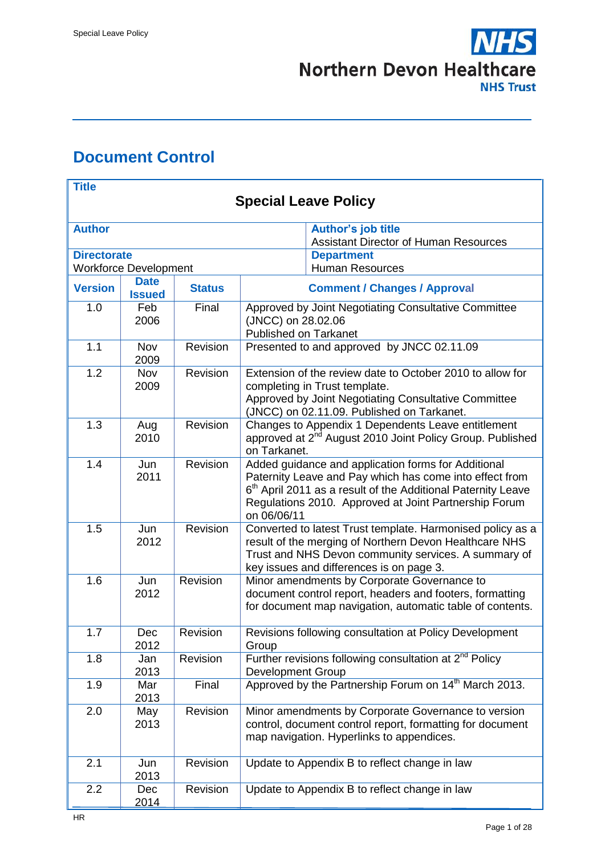

# <span id="page-0-0"></span>**Document Control**

| <b>Title</b>       |                              |                 |                                                                                                                                                                                                                                                                    |  |  |  |  |
|--------------------|------------------------------|-----------------|--------------------------------------------------------------------------------------------------------------------------------------------------------------------------------------------------------------------------------------------------------------------|--|--|--|--|
|                    | <b>Special Leave Policy</b>  |                 |                                                                                                                                                                                                                                                                    |  |  |  |  |
| <b>Author</b>      |                              |                 | <b>Author's job title</b><br><b>Assistant Director of Human Resources</b>                                                                                                                                                                                          |  |  |  |  |
| <b>Directorate</b> | <b>Workforce Development</b> |                 | <b>Department</b><br><b>Human Resources</b>                                                                                                                                                                                                                        |  |  |  |  |
| <b>Version</b>     | <b>Date</b><br><b>Issued</b> | <b>Status</b>   | <b>Comment / Changes / Approval</b>                                                                                                                                                                                                                                |  |  |  |  |
| 1.0                | Feb<br>2006                  | Final           | Approved by Joint Negotiating Consultative Committee<br>(JNCC) on 28.02.06<br><b>Published on Tarkanet</b>                                                                                                                                                         |  |  |  |  |
| 1.1                | <b>Nov</b><br>2009           | Revision        | Presented to and approved by JNCC 02.11.09                                                                                                                                                                                                                         |  |  |  |  |
| 1.2                | Nov<br>2009                  | Revision        | Extension of the review date to October 2010 to allow for<br>completing in Trust template.<br>Approved by Joint Negotiating Consultative Committee<br>(JNCC) on 02.11.09. Published on Tarkanet.                                                                   |  |  |  |  |
| 1.3                | Aug<br>2010                  | Revision        | Changes to Appendix 1 Dependents Leave entitlement<br>approved at 2 <sup>nd</sup> August 2010 Joint Policy Group. Published<br>on Tarkanet.                                                                                                                        |  |  |  |  |
| 1.4                | Jun<br>2011                  | Revision        | Added guidance and application forms for Additional<br>Paternity Leave and Pay which has come into effect from<br>6 <sup>th</sup> April 2011 as a result of the Additional Paternity Leave<br>Regulations 2010. Approved at Joint Partnership Forum<br>on 06/06/11 |  |  |  |  |
| 1.5                | Jun<br>2012                  | Revision        | Converted to latest Trust template. Harmonised policy as a<br>result of the merging of Northern Devon Healthcare NHS<br>Trust and NHS Devon community services. A summary of<br>key issues and differences is on page 3.                                           |  |  |  |  |
| 1.6                | Jun<br>2012                  | <b>Revision</b> | Minor amendments by Corporate Governance to<br>document control report, headers and footers, formatting<br>for document map navigation, automatic table of contents.                                                                                               |  |  |  |  |
| 1.7                | Dec<br>2012                  | Revision        | Revisions following consultation at Policy Development<br>Group                                                                                                                                                                                                    |  |  |  |  |
| 1.8                | Jan<br>2013                  | Revision        | Further revisions following consultation at $2^{\overline{nd}}$ Policy<br><b>Development Group</b>                                                                                                                                                                 |  |  |  |  |
| 1.9                | Mar<br>2013                  | Final           | Approved by the Partnership Forum on 14 <sup>th</sup> March 2013.                                                                                                                                                                                                  |  |  |  |  |
| 2.0                | May<br>2013                  | Revision        | Minor amendments by Corporate Governance to version<br>control, document control report, formatting for document<br>map navigation. Hyperlinks to appendices.                                                                                                      |  |  |  |  |
| 2.1                | Jun<br>2013                  | Revision        | Update to Appendix B to reflect change in law                                                                                                                                                                                                                      |  |  |  |  |
| 2.2                | Dec<br>2014                  | Revision        | Update to Appendix B to reflect change in law                                                                                                                                                                                                                      |  |  |  |  |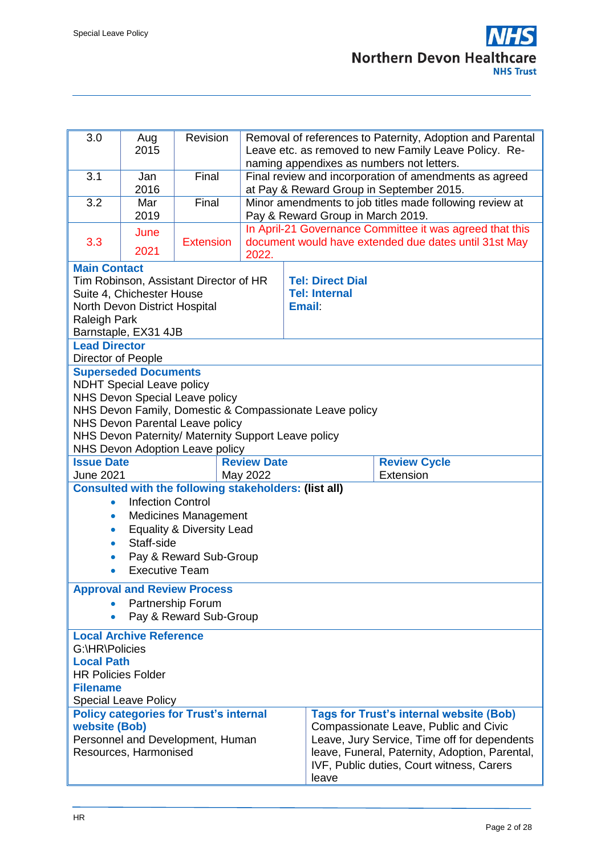| 3.0                                                               | Aug<br>2015                                                                               | Revision                                                     |                    |               |                                              | Removal of references to Paternity, Adoption and Parental<br>Leave etc. as removed to new Family Leave Policy. Re-<br>naming appendixes as numbers not letters. |
|-------------------------------------------------------------------|-------------------------------------------------------------------------------------------|--------------------------------------------------------------|--------------------|---------------|----------------------------------------------|-----------------------------------------------------------------------------------------------------------------------------------------------------------------|
| 3.1                                                               | Jan                                                                                       | Final                                                        |                    |               |                                              | Final review and incorporation of amendments as agreed                                                                                                          |
|                                                                   | 2016                                                                                      |                                                              |                    |               |                                              | at Pay & Reward Group in September 2015.                                                                                                                        |
| 3.2                                                               | Mar<br>2019                                                                               | Final                                                        |                    |               | Pay & Reward Group in March 2019.            | Minor amendments to job titles made following review at                                                                                                         |
|                                                                   |                                                                                           |                                                              |                    |               |                                              | In April-21 Governance Committee it was agreed that this                                                                                                        |
| 3.3                                                               | June<br>2021                                                                              | <b>Extension</b>                                             | 2022.              |               |                                              | document would have extended due dates until 31st May                                                                                                           |
| <b>Main Contact</b>                                               |                                                                                           |                                                              |                    |               |                                              |                                                                                                                                                                 |
| Tim Robinson, Assistant Director of HR<br><b>Tel: Direct Dial</b> |                                                                                           |                                                              |                    |               |                                              |                                                                                                                                                                 |
|                                                                   | Suite 4, Chichester House                                                                 |                                                              |                    |               | <b>Tel: Internal</b>                         |                                                                                                                                                                 |
|                                                                   | North Devon District Hospital                                                             |                                                              |                    | <b>Email:</b> |                                              |                                                                                                                                                                 |
| <b>Raleigh Park</b>                                               |                                                                                           |                                                              |                    |               |                                              |                                                                                                                                                                 |
| Barnstaple, EX31 4JB                                              |                                                                                           |                                                              |                    |               |                                              |                                                                                                                                                                 |
| <b>Lead Director</b>                                              |                                                                                           |                                                              |                    |               |                                              |                                                                                                                                                                 |
| Director of People                                                |                                                                                           |                                                              |                    |               |                                              |                                                                                                                                                                 |
|                                                                   | <b>Superseded Documents</b>                                                               |                                                              |                    |               |                                              |                                                                                                                                                                 |
|                                                                   | <b>NDHT Special Leave policy</b>                                                          |                                                              |                    |               |                                              |                                                                                                                                                                 |
|                                                                   | NHS Devon Special Leave policy<br>NHS Devon Family, Domestic & Compassionate Leave policy |                                                              |                    |               |                                              |                                                                                                                                                                 |
| NHS Devon Parental Leave policy                                   |                                                                                           |                                                              |                    |               |                                              |                                                                                                                                                                 |
| NHS Devon Paternity/ Maternity Support Leave policy               |                                                                                           |                                                              |                    |               |                                              |                                                                                                                                                                 |
|                                                                   |                                                                                           | NHS Devon Adoption Leave policy                              |                    |               |                                              |                                                                                                                                                                 |
| <b>Issue Date</b>                                                 |                                                                                           |                                                              | <b>Review Date</b> |               |                                              | <b>Review Cycle</b>                                                                                                                                             |
| <b>June 2021</b>                                                  |                                                                                           |                                                              | May 2022           |               |                                              | Extension                                                                                                                                                       |
|                                                                   |                                                                                           | <b>Consulted with the following stakeholders: (list all)</b> |                    |               |                                              |                                                                                                                                                                 |
| $\bullet$                                                         | <b>Infection Control</b>                                                                  |                                                              |                    |               |                                              |                                                                                                                                                                 |
| $\bullet$                                                         |                                                                                           | <b>Medicines Management</b>                                  |                    |               |                                              |                                                                                                                                                                 |
| $\bullet$                                                         |                                                                                           | <b>Equality &amp; Diversity Lead</b>                         |                    |               |                                              |                                                                                                                                                                 |
| $\bullet$                                                         | Staff-side                                                                                |                                                              |                    |               |                                              |                                                                                                                                                                 |
| $\bullet$                                                         |                                                                                           | Pay & Reward Sub-Group                                       |                    |               |                                              |                                                                                                                                                                 |
| $\bullet$                                                         | <b>Executive Team</b>                                                                     |                                                              |                    |               |                                              |                                                                                                                                                                 |
|                                                                   |                                                                                           | <b>Approval and Review Process</b>                           |                    |               |                                              |                                                                                                                                                                 |
|                                                                   |                                                                                           | Partnership Forum                                            |                    |               |                                              |                                                                                                                                                                 |
| $\bullet$                                                         |                                                                                           | Pay & Reward Sub-Group                                       |                    |               |                                              |                                                                                                                                                                 |
|                                                                   | <b>Local Archive Reference</b>                                                            |                                                              |                    |               |                                              |                                                                                                                                                                 |
| G:\HR\Policies                                                    |                                                                                           |                                                              |                    |               |                                              |                                                                                                                                                                 |
| <b>Local Path</b>                                                 |                                                                                           |                                                              |                    |               |                                              |                                                                                                                                                                 |
| <b>HR Policies Folder</b>                                         |                                                                                           |                                                              |                    |               |                                              |                                                                                                                                                                 |
| <b>Filename</b>                                                   |                                                                                           |                                                              |                    |               |                                              |                                                                                                                                                                 |
|                                                                   | <b>Special Leave Policy</b>                                                               |                                                              |                    |               |                                              |                                                                                                                                                                 |
|                                                                   |                                                                                           | <b>Policy categories for Trust's internal</b>                |                    |               |                                              | <b>Tags for Trust's internal website (Bob)</b>                                                                                                                  |
| <b>website (Bob)</b>                                              |                                                                                           |                                                              |                    |               |                                              | Compassionate Leave, Public and Civic                                                                                                                           |
| Personnel and Development, Human                                  |                                                                                           |                                                              |                    |               | Leave, Jury Service, Time off for dependents |                                                                                                                                                                 |
|                                                                   | Resources, Harmonised                                                                     |                                                              |                    |               |                                              | leave, Funeral, Paternity, Adoption, Parental,                                                                                                                  |
|                                                                   |                                                                                           |                                                              |                    |               |                                              | IVF, Public duties, Court witness, Carers                                                                                                                       |
|                                                                   | leave                                                                                     |                                                              |                    |               |                                              |                                                                                                                                                                 |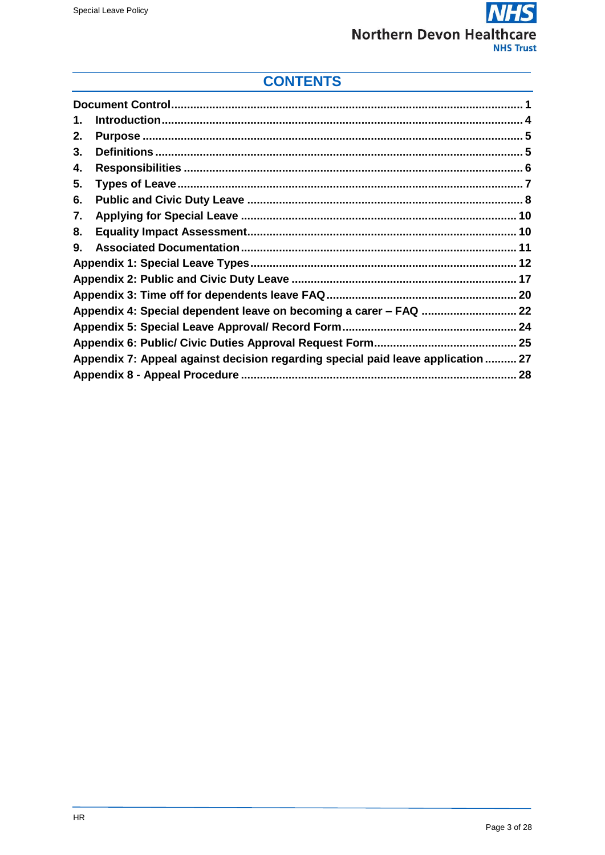#### $\overline{\bm S}$  $\boldsymbol{\mathsf{\Gamma}}$ **Northern Devon Healthcare NHS Trust**

# **CONTENTS**

| 1. |                                                                                  |  |
|----|----------------------------------------------------------------------------------|--|
| 2. |                                                                                  |  |
| 3. |                                                                                  |  |
| 4. |                                                                                  |  |
| 5. |                                                                                  |  |
| 6. |                                                                                  |  |
| 7. |                                                                                  |  |
| 8. |                                                                                  |  |
| 9. |                                                                                  |  |
|    |                                                                                  |  |
|    |                                                                                  |  |
|    |                                                                                  |  |
|    |                                                                                  |  |
|    |                                                                                  |  |
|    |                                                                                  |  |
|    | Appendix 7: Appeal against decision regarding special paid leave application  27 |  |
|    |                                                                                  |  |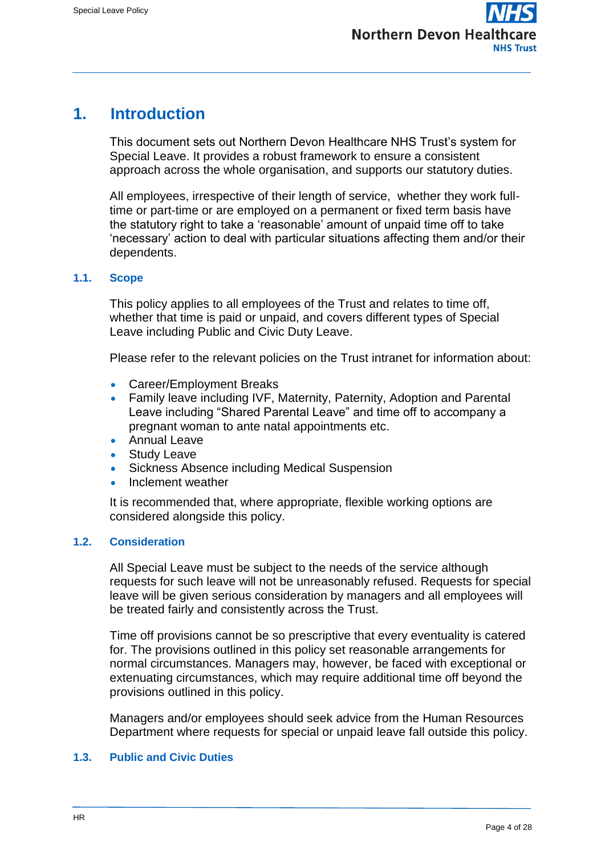## <span id="page-3-0"></span>**1. Introduction**

This document sets out Northern Devon Healthcare NHS Trust's system for Special Leave. It provides a robust framework to ensure a consistent approach across the whole organisation, and supports our statutory duties.

All employees, irrespective of their length of service, whether they work fulltime or part-time or are employed on a permanent or fixed term basis have the statutory right to take a 'reasonable' amount of unpaid time off to take 'necessary' action to deal with particular situations affecting them and/or their dependents.

#### **1.1. Scope**

This policy applies to all employees of the Trust and relates to time off, whether that time is paid or unpaid, and covers different types of Special Leave including Public and Civic Duty Leave.

Please refer to the relevant policies on the Trust intranet for information about:

- Career/Employment Breaks
- Family leave including IVF, Maternity, Paternity, Adoption and Parental Leave including "Shared Parental Leave" and time off to accompany a pregnant woman to ante natal appointments etc.
- Annual Leave
- Study Leave
- Sickness Absence including Medical Suspension
- Inclement weather

It is recommended that, where appropriate, flexible working options are considered alongside this policy.

#### **1.2. Consideration**

All Special Leave must be subject to the needs of the service although requests for such leave will not be unreasonably refused. Requests for special leave will be given serious consideration by managers and all employees will be treated fairly and consistently across the Trust.

Time off provisions cannot be so prescriptive that every eventuality is catered for. The provisions outlined in this policy set reasonable arrangements for normal circumstances. Managers may, however, be faced with exceptional or extenuating circumstances, which may require additional time off beyond the provisions outlined in this policy.

Managers and/or employees should seek advice from the Human Resources Department where requests for special or unpaid leave fall outside this policy.

#### **1.3. Public and Civic Duties**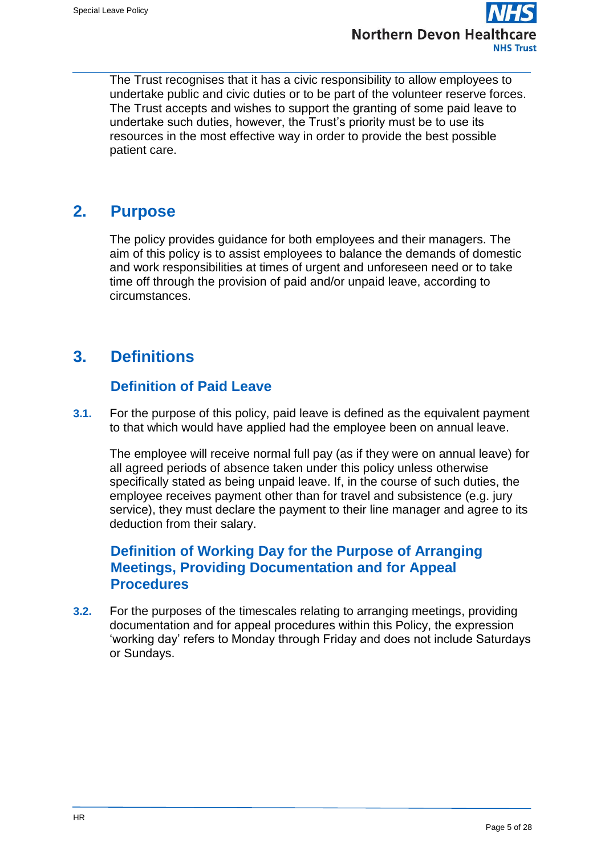

The Trust recognises that it has a civic responsibility to allow employees to undertake public and civic duties or to be part of the volunteer reserve forces. The Trust accepts and wishes to support the granting of some paid leave to undertake such duties, however, the Trust's priority must be to use its resources in the most effective way in order to provide the best possible patient care.

## <span id="page-4-0"></span>**2. Purpose**

The policy provides guidance for both employees and their managers. The aim of this policy is to assist employees to balance the demands of domestic and work responsibilities at times of urgent and unforeseen need or to take time off through the provision of paid and/or unpaid leave, according to circumstances.

# <span id="page-4-1"></span>**3. Definitions**

## **Definition of Paid Leave**

**3.1.** For the purpose of this policy, paid leave is defined as the equivalent payment to that which would have applied had the employee been on annual leave.

The employee will receive normal full pay (as if they were on annual leave) for all agreed periods of absence taken under this policy unless otherwise specifically stated as being unpaid leave. If, in the course of such duties, the employee receives payment other than for travel and subsistence (e.g. jury service), they must declare the payment to their line manager and agree to its deduction from their salary.

## **Definition of Working Day for the Purpose of Arranging Meetings, Providing Documentation and for Appeal Procedures**

**3.2.** For the purposes of the timescales relating to arranging meetings, providing documentation and for appeal procedures within this Policy, the expression 'working day' refers to Monday through Friday and does not include Saturdays or Sundays.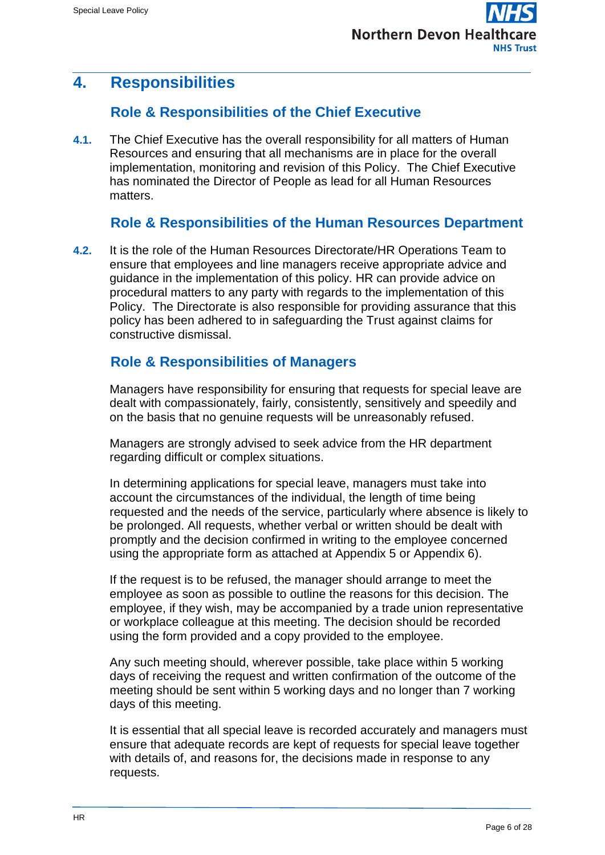# <span id="page-5-0"></span>**4. Responsibilities**

## **Role & Responsibilities of the Chief Executive**

**4.1.** The Chief Executive has the overall responsibility for all matters of Human Resources and ensuring that all mechanisms are in place for the overall implementation, monitoring and revision of this Policy. The Chief Executive has nominated the Director of People as lead for all Human Resources matters.

## **Role & Responsibilities of the Human Resources Department**

**4.2.** It is the role of the Human Resources Directorate/HR Operations Team to ensure that employees and line managers receive appropriate advice and guidance in the implementation of this policy. HR can provide advice on procedural matters to any party with regards to the implementation of this Policy. The Directorate is also responsible for providing assurance that this policy has been adhered to in safeguarding the Trust against claims for constructive dismissal.

## **Role & Responsibilities of Managers**

Managers have responsibility for ensuring that requests for special leave are dealt with compassionately, fairly, consistently, sensitively and speedily and on the basis that no genuine requests will be unreasonably refused.

Managers are strongly advised to seek advice from the HR department regarding difficult or complex situations.

In determining applications for special leave, managers must take into account the circumstances of the individual, the length of time being requested and the needs of the service, particularly where absence is likely to be prolonged. All requests, whether verbal or written should be dealt with promptly and the decision confirmed in writing to the employee concerned using the appropriate form as attached at Appendix 5 or Appendix 6).

If the request is to be refused, the manager should arrange to meet the employee as soon as possible to outline the reasons for this decision. The employee, if they wish, may be accompanied by a trade union representative or workplace colleague at this meeting. The decision should be recorded using the form provided and a copy provided to the employee.

Any such meeting should, wherever possible, take place within 5 working days of receiving the request and written confirmation of the outcome of the meeting should be sent within 5 working days and no longer than 7 working days of this meeting.

It is essential that all special leave is recorded accurately and managers must ensure that adequate records are kept of requests for special leave together with details of, and reasons for, the decisions made in response to any requests.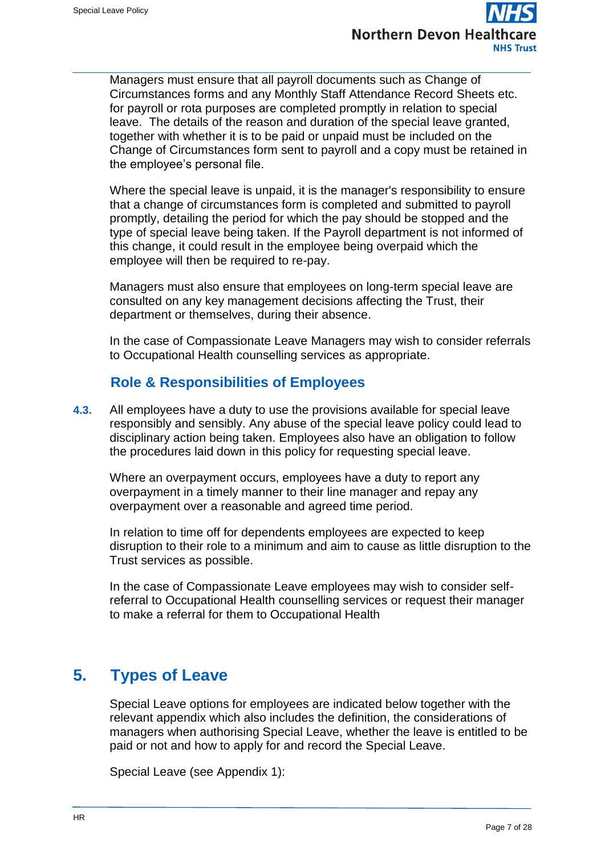

Managers must ensure that all payroll documents such as Change of Circumstances forms and any Monthly Staff Attendance Record Sheets etc. for payroll or rota purposes are completed promptly in relation to special leave. The details of the reason and duration of the special leave granted, together with whether it is to be paid or unpaid must be included on the Change of Circumstances form sent to payroll and a copy must be retained in the employee's personal file.

Where the special leave is unpaid, it is the manager's responsibility to ensure that a change of circumstances form is completed and submitted to payroll promptly, detailing the period for which the pay should be stopped and the type of special leave being taken. If the Payroll department is not informed of this change, it could result in the employee being overpaid which the employee will then be required to re-pay.

Managers must also ensure that employees on long-term special leave are consulted on any key management decisions affecting the Trust, their department or themselves, during their absence.

In the case of Compassionate Leave Managers may wish to consider referrals to Occupational Health counselling services as appropriate.

## **Role & Responsibilities of Employees**

**4.3.** All employees have a duty to use the provisions available for special leave responsibly and sensibly. Any abuse of the special leave policy could lead to disciplinary action being taken. Employees also have an obligation to follow the procedures laid down in this policy for requesting special leave.

Where an overpayment occurs, employees have a duty to report any overpayment in a timely manner to their line manager and repay any overpayment over a reasonable and agreed time period.

In relation to time off for dependents employees are expected to keep disruption to their role to a minimum and aim to cause as little disruption to the Trust services as possible.

In the case of Compassionate Leave employees may wish to consider selfreferral to Occupational Health counselling services or request their manager to make a referral for them to Occupational Health

# <span id="page-6-0"></span>**5. Types of Leave**

Special Leave options for employees are indicated below together with the relevant appendix which also includes the definition, the considerations of managers when authorising Special Leave, whether the leave is entitled to be paid or not and how to apply for and record the Special Leave.

Special Leave (see Appendix 1):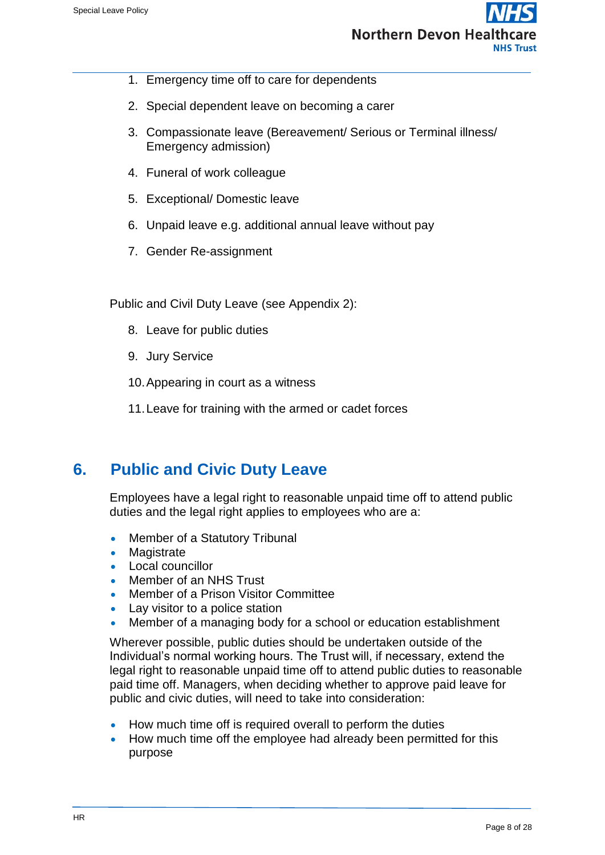

- 1. Emergency time off to care for dependents
- 2. Special dependent leave on becoming a carer
- 3. Compassionate leave (Bereavement/ Serious or Terminal illness/ Emergency admission)
- 4. Funeral of work colleague
- 5. Exceptional/ Domestic leave
- 6. Unpaid leave e.g. additional annual leave without pay
- 7. Gender Re-assignment

Public and Civil Duty Leave (see Appendix 2):

- 8. Leave for public duties
- 9. Jury Service
- 10.Appearing in court as a witness
- 11.Leave for training with the armed or cadet forces

## <span id="page-7-0"></span>**6. Public and Civic Duty Leave**

Employees have a legal right to reasonable unpaid time off to attend public duties and the legal right applies to employees who are a:

- Member of a Statutory Tribunal
- **Magistrate**
- Local councillor
- Member of an NHS Trust
- Member of a Prison Visitor Committee
- Lay visitor to a police station
- Member of a managing body for a school or education establishment

Wherever possible, public duties should be undertaken outside of the Individual's normal working hours. The Trust will, if necessary, extend the legal right to reasonable unpaid time off to attend public duties to reasonable paid time off. Managers, when deciding whether to approve paid leave for public and civic duties, will need to take into consideration:

- How much time off is required overall to perform the duties
- How much time off the employee had already been permitted for this purpose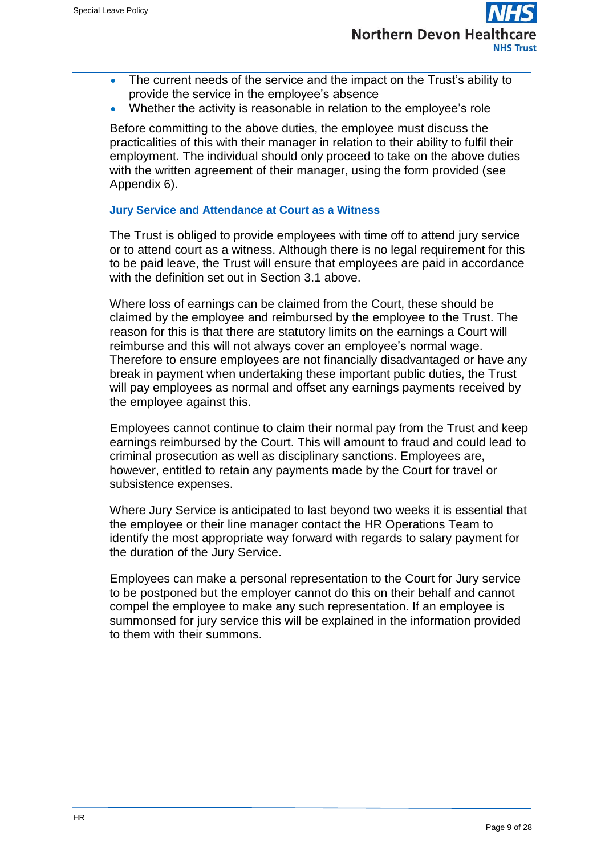

- The current needs of the service and the impact on the Trust's ability to provide the service in the employee's absence
- Whether the activity is reasonable in relation to the employee's role

Before committing to the above duties, the employee must discuss the practicalities of this with their manager in relation to their ability to fulfil their employment. The individual should only proceed to take on the above duties with the written agreement of their manager, using the form provided (see Appendix 6).

#### **Jury Service and Attendance at Court as a Witness**

The Trust is obliged to provide employees with time off to attend jury service or to attend court as a witness. Although there is no legal requirement for this to be paid leave, the Trust will ensure that employees are paid in accordance with the definition set out in Section 3.1 above.

Where loss of earnings can be claimed from the Court, these should be claimed by the employee and reimbursed by the employee to the Trust. The reason for this is that there are statutory limits on the earnings a Court will reimburse and this will not always cover an employee's normal wage. Therefore to ensure employees are not financially disadvantaged or have any break in payment when undertaking these important public duties, the Trust will pay employees as normal and offset any earnings payments received by the employee against this.

Employees cannot continue to claim their normal pay from the Trust and keep earnings reimbursed by the Court. This will amount to fraud and could lead to criminal prosecution as well as disciplinary sanctions. Employees are, however, entitled to retain any payments made by the Court for travel or subsistence expenses.

Where Jury Service is anticipated to last beyond two weeks it is essential that the employee or their line manager contact the HR Operations Team to identify the most appropriate way forward with regards to salary payment for the duration of the Jury Service.

Employees can make a personal representation to the Court for Jury service to be postponed but the employer cannot do this on their behalf and cannot compel the employee to make any such representation. If an employee is summonsed for jury service this will be explained in the information provided to them with their summons.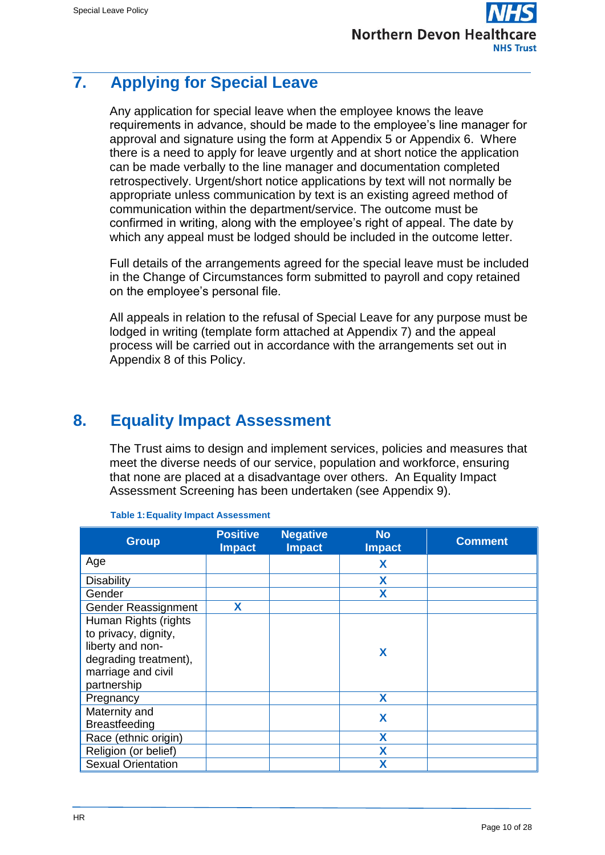# <span id="page-9-0"></span>**7. Applying for Special Leave**

Any application for special leave when the employee knows the leave requirements in advance, should be made to the employee's line manager for approval and signature using the form at Appendix 5 or Appendix 6. Where there is a need to apply for leave urgently and at short notice the application can be made verbally to the line manager and documentation completed retrospectively. Urgent/short notice applications by text will not normally be appropriate unless communication by text is an existing agreed method of communication within the department/service. The outcome must be confirmed in writing, along with the employee's right of appeal. The date by which any appeal must be lodged should be included in the outcome letter.

Full details of the arrangements agreed for the special leave must be included in the Change of Circumstances form submitted to payroll and copy retained on the employee's personal file.

All appeals in relation to the refusal of Special Leave for any purpose must be lodged in writing (template form attached at Appendix 7) and the appeal process will be carried out in accordance with the arrangements set out in Appendix 8 of this Policy.

# <span id="page-9-1"></span>**8. Equality Impact Assessment**

The Trust aims to design and implement services, policies and measures that meet the diverse needs of our service, population and workforce, ensuring that none are placed at a disadvantage over others. An Equality Impact Assessment Screening has been undertaken (see Appendix 9).

| <b>Group</b>              | <b>Positive</b><br><b>Impact</b> | <b>Negative</b><br><b>Impact</b> | <b>No</b><br><b>Impact</b> | <b>Comment</b> |
|---------------------------|----------------------------------|----------------------------------|----------------------------|----------------|
| Age                       |                                  |                                  | X                          |                |
| <b>Disability</b>         |                                  |                                  | X                          |                |
| Gender                    |                                  |                                  | X                          |                |
| Gender Reassignment       | X                                |                                  |                            |                |
| Human Rights (rights      |                                  |                                  |                            |                |
| to privacy, dignity,      |                                  |                                  |                            |                |
| liberty and non-          |                                  |                                  | X                          |                |
| degrading treatment),     |                                  |                                  |                            |                |
| marriage and civil        |                                  |                                  |                            |                |
| partnership               |                                  |                                  |                            |                |
| Pregnancy                 |                                  |                                  | X                          |                |
| Maternity and             |                                  |                                  | X                          |                |
| <b>Breastfeeding</b>      |                                  |                                  |                            |                |
| Race (ethnic origin)      |                                  |                                  | X                          |                |
| Religion (or belief)      |                                  |                                  | X                          |                |
| <b>Sexual Orientation</b> |                                  |                                  | X                          |                |

#### **Table 1:Equality Impact Assessment**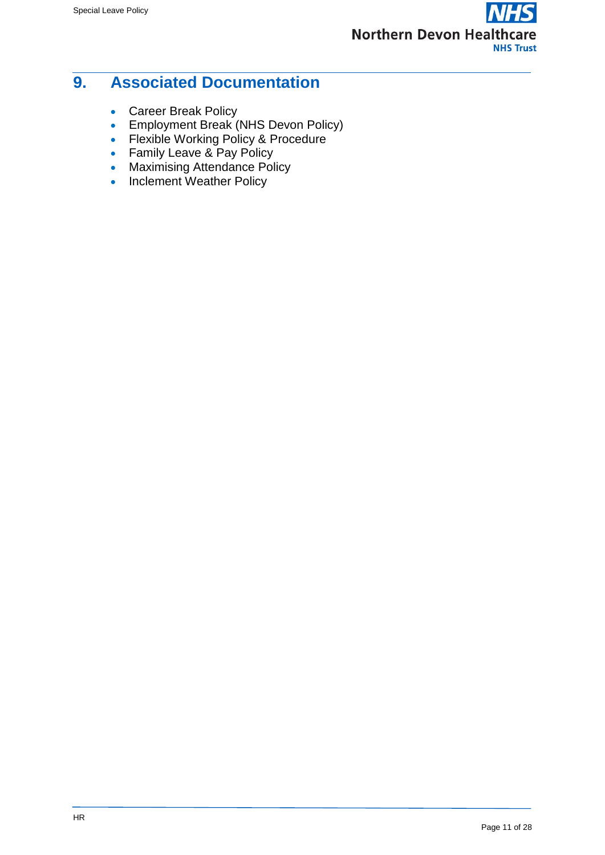

## <span id="page-10-0"></span>**9. Associated Documentation**

- Career Break Policy
- **Employment Break (NHS Devon Policy)**
- Flexible Working Policy & Procedure
- Family Leave & Pay Policy
- Maximising Attendance Policy
- Inclement Weather Policy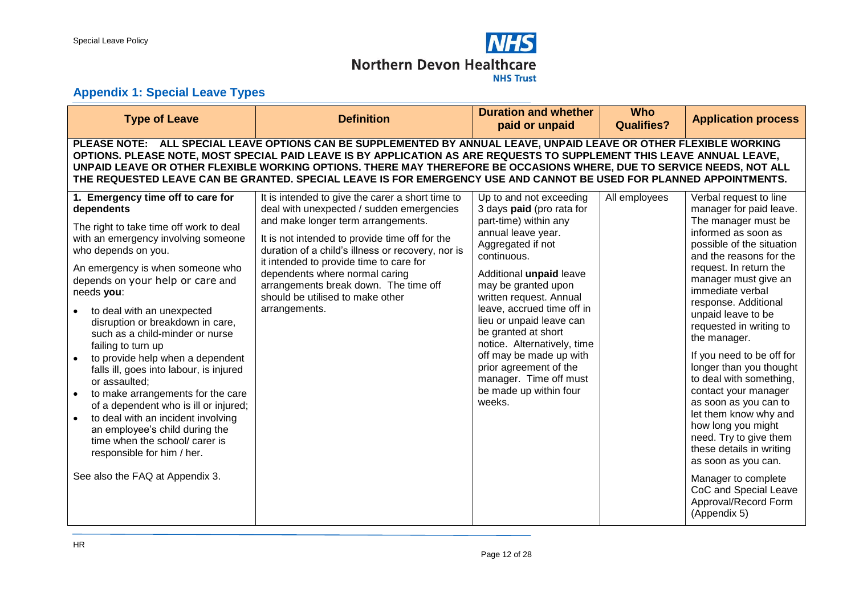

## **Appendix 1: Special Leave Types**

<span id="page-11-0"></span>

| <b>Type of Leave</b>                                                                                                                                                                                                                                                                                                                                                                                                                                                                                                                                                                                                                                                                                                                            | <b>Definition</b>                                                                                                                                                                                                                                                                                                                                                                                                     | <b>Duration and whether</b><br>paid or unpaid                                                                                                                                                                                                                                                                                                                                                                                                           | <b>Who</b><br><b>Qualifies?</b> | <b>Application process</b>                                                                                                                                                                                                                                                                                                                                                                                                                                                                                                                                                                                                                                                     |  |  |
|-------------------------------------------------------------------------------------------------------------------------------------------------------------------------------------------------------------------------------------------------------------------------------------------------------------------------------------------------------------------------------------------------------------------------------------------------------------------------------------------------------------------------------------------------------------------------------------------------------------------------------------------------------------------------------------------------------------------------------------------------|-----------------------------------------------------------------------------------------------------------------------------------------------------------------------------------------------------------------------------------------------------------------------------------------------------------------------------------------------------------------------------------------------------------------------|---------------------------------------------------------------------------------------------------------------------------------------------------------------------------------------------------------------------------------------------------------------------------------------------------------------------------------------------------------------------------------------------------------------------------------------------------------|---------------------------------|--------------------------------------------------------------------------------------------------------------------------------------------------------------------------------------------------------------------------------------------------------------------------------------------------------------------------------------------------------------------------------------------------------------------------------------------------------------------------------------------------------------------------------------------------------------------------------------------------------------------------------------------------------------------------------|--|--|
| PLEASE NOTE: ALL SPECIAL LEAVE OPTIONS CAN BE SUPPLEMENTED BY ANNUAL LEAVE, UNPAID LEAVE OR OTHER FLEXIBLE WORKING<br>OPTIONS. PLEASE NOTE, MOST SPECIAL PAID LEAVE IS BY APPLICATION AS ARE REQUESTS TO SUPPLEMENT THIS LEAVE ANNUAL LEAVE,<br>UNPAID LEAVE OR OTHER FLEXIBLE WORKING OPTIONS. THERE MAY THEREFORE BE OCCASIONS WHERE, DUE TO SERVICE NEEDS, NOT ALL<br>THE REQUESTED LEAVE CAN BE GRANTED. SPECIAL LEAVE IS FOR EMERGENCY USE AND CANNOT BE USED FOR PLANNED APPOINTMENTS.                                                                                                                                                                                                                                                    |                                                                                                                                                                                                                                                                                                                                                                                                                       |                                                                                                                                                                                                                                                                                                                                                                                                                                                         |                                 |                                                                                                                                                                                                                                                                                                                                                                                                                                                                                                                                                                                                                                                                                |  |  |
| 1. Emergency time off to care for<br>dependents<br>The right to take time off work to deal<br>with an emergency involving someone<br>who depends on you.<br>An emergency is when someone who<br>depends on your help or care and<br>needs you:<br>to deal with an unexpected<br>disruption or breakdown in care,<br>such as a child-minder or nurse<br>failing to turn up<br>to provide help when a dependent<br>falls ill, goes into labour, is injured<br>or assaulted;<br>to make arrangements for the care<br>of a dependent who is ill or injured;<br>to deal with an incident involving<br>$\bullet$<br>an employee's child during the<br>time when the school/ carer is<br>responsible for him / her.<br>See also the FAQ at Appendix 3. | It is intended to give the carer a short time to<br>deal with unexpected / sudden emergencies<br>and make longer term arrangements.<br>It is not intended to provide time off for the<br>duration of a child's illness or recovery, nor is<br>it intended to provide time to care for<br>dependents where normal caring<br>arrangements break down. The time off<br>should be utilised to make other<br>arrangements. | Up to and not exceeding<br>3 days paid (pro rata for<br>part-time) within any<br>annual leave year.<br>Aggregated if not<br>continuous.<br>Additional unpaid leave<br>may be granted upon<br>written request. Annual<br>leave, accrued time off in<br>lieu or unpaid leave can<br>be granted at short<br>notice. Alternatively, time<br>off may be made up with<br>prior agreement of the<br>manager. Time off must<br>be made up within four<br>weeks. | All employees                   | Verbal request to line<br>manager for paid leave.<br>The manager must be<br>informed as soon as<br>possible of the situation<br>and the reasons for the<br>request. In return the<br>manager must give an<br>immediate verbal<br>response. Additional<br>unpaid leave to be<br>requested in writing to<br>the manager.<br>If you need to be off for<br>longer than you thought<br>to deal with something,<br>contact your manager<br>as soon as you can to<br>let them know why and<br>how long you might<br>need. Try to give them<br>these details in writing<br>as soon as you can.<br>Manager to complete<br>CoC and Special Leave<br>Approval/Record Form<br>(Appendix 5) |  |  |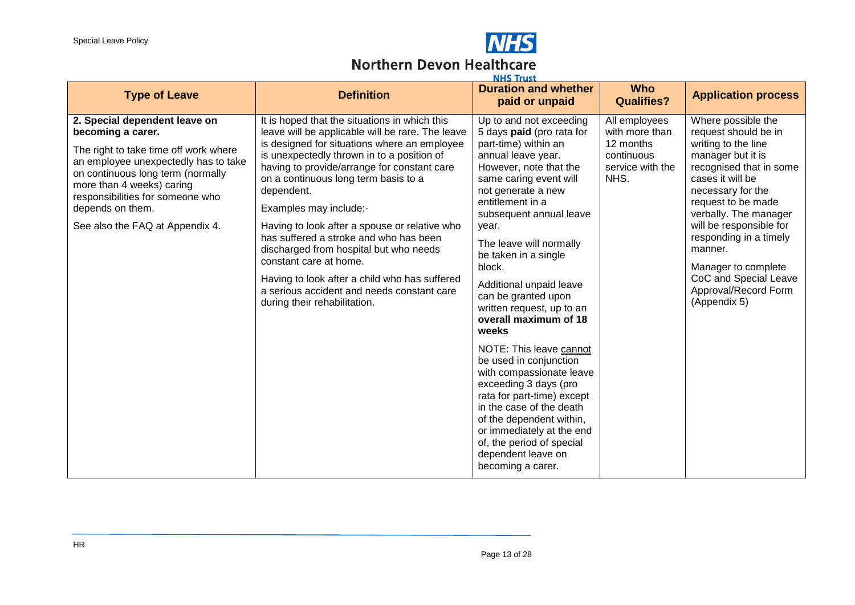

# **NHS**<br>Northern Devon Healthcare

| <b>Type of Leave</b>                                                                                                                                                                                                                                                                             | <b>Definition</b>                                                                                                                                                                                                                                                                                                                                                                                                                                                                                                                                                                                                            | NHS Irust<br><b>Duration and whether</b><br>paid or unpaid                                                                                                                                                                                                                                                                                                                                                                                                                                                                                                                                                                                                                                                              | <b>Who</b><br><b>Qualifies?</b>                                                        | <b>Application process</b>                                                                                                                                                                                                                                                                                                                                        |
|--------------------------------------------------------------------------------------------------------------------------------------------------------------------------------------------------------------------------------------------------------------------------------------------------|------------------------------------------------------------------------------------------------------------------------------------------------------------------------------------------------------------------------------------------------------------------------------------------------------------------------------------------------------------------------------------------------------------------------------------------------------------------------------------------------------------------------------------------------------------------------------------------------------------------------------|-------------------------------------------------------------------------------------------------------------------------------------------------------------------------------------------------------------------------------------------------------------------------------------------------------------------------------------------------------------------------------------------------------------------------------------------------------------------------------------------------------------------------------------------------------------------------------------------------------------------------------------------------------------------------------------------------------------------------|----------------------------------------------------------------------------------------|-------------------------------------------------------------------------------------------------------------------------------------------------------------------------------------------------------------------------------------------------------------------------------------------------------------------------------------------------------------------|
| 2. Special dependent leave on<br>becoming a carer.<br>The right to take time off work where<br>an employee unexpectedly has to take<br>on continuous long term (normally<br>more than 4 weeks) caring<br>responsibilities for someone who<br>depends on them.<br>See also the FAQ at Appendix 4. | It is hoped that the situations in which this<br>leave will be applicable will be rare. The leave<br>is designed for situations where an employee<br>is unexpectedly thrown in to a position of<br>having to provide/arrange for constant care<br>on a continuous long term basis to a<br>dependent.<br>Examples may include:-<br>Having to look after a spouse or relative who<br>has suffered a stroke and who has been<br>discharged from hospital but who needs<br>constant care at home.<br>Having to look after a child who has suffered<br>a serious accident and needs constant care<br>during their rehabilitation. | Up to and not exceeding<br>5 days paid (pro rata for<br>part-time) within an<br>annual leave year.<br>However, note that the<br>same caring event will<br>not generate a new<br>entitlement in a<br>subsequent annual leave<br>year.<br>The leave will normally<br>be taken in a single<br>block.<br>Additional unpaid leave<br>can be granted upon<br>written request, up to an<br>overall maximum of 18<br>weeks<br>NOTE: This leave cannot<br>be used in conjunction<br>with compassionate leave<br>exceeding 3 days (pro<br>rata for part-time) except<br>in the case of the death<br>of the dependent within,<br>or immediately at the end<br>of, the period of special<br>dependent leave on<br>becoming a carer. | All employees<br>with more than<br>12 months<br>continuous<br>service with the<br>NHS. | Where possible the<br>request should be in<br>writing to the line<br>manager but it is<br>recognised that in some<br>cases it will be<br>necessary for the<br>request to be made<br>verbally. The manager<br>will be responsible for<br>responding in a timely<br>manner.<br>Manager to complete<br>CoC and Special Leave<br>Approval/Record Form<br>(Appendix 5) |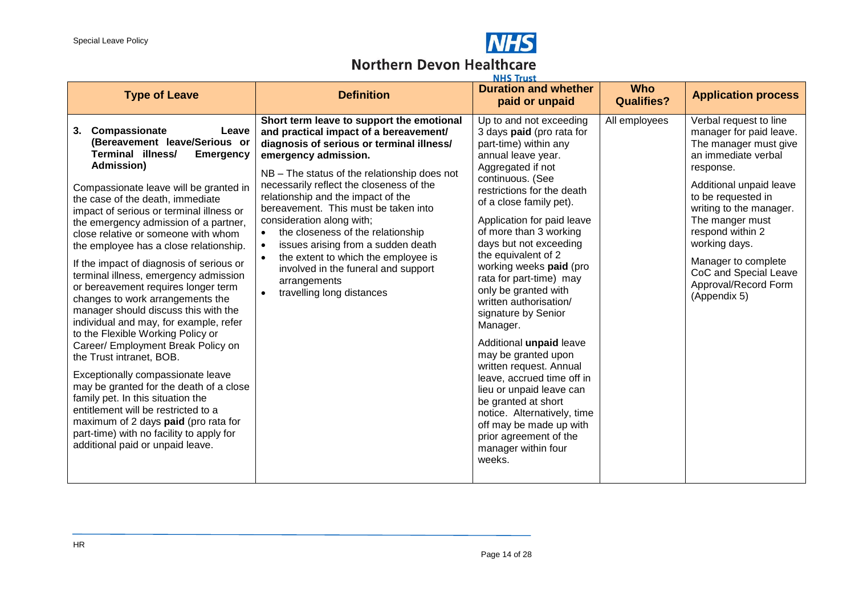

#### **Northern Devon Healthcare Washing**

| <b>Type of Leave</b>                                                                                                                                                                                                                                                                                                                                                                                                                                                                                                                                                                                                                                                                                                                                                                                                                                                                                  | <b>Definition</b>                                                                                                                                                                                                                                                                                                                                                                                                                                                                                                                                               | NHS Irust<br><b>Duration and whether</b>                                                                                                                                                                                                                                                                                                                                                                                                                                                                                                                                                                                    | <b>Who</b>                         | <b>Application process</b>                                                                                                                                                                                                                                                                                       |
|-------------------------------------------------------------------------------------------------------------------------------------------------------------------------------------------------------------------------------------------------------------------------------------------------------------------------------------------------------------------------------------------------------------------------------------------------------------------------------------------------------------------------------------------------------------------------------------------------------------------------------------------------------------------------------------------------------------------------------------------------------------------------------------------------------------------------------------------------------------------------------------------------------|-----------------------------------------------------------------------------------------------------------------------------------------------------------------------------------------------------------------------------------------------------------------------------------------------------------------------------------------------------------------------------------------------------------------------------------------------------------------------------------------------------------------------------------------------------------------|-----------------------------------------------------------------------------------------------------------------------------------------------------------------------------------------------------------------------------------------------------------------------------------------------------------------------------------------------------------------------------------------------------------------------------------------------------------------------------------------------------------------------------------------------------------------------------------------------------------------------------|------------------------------------|------------------------------------------------------------------------------------------------------------------------------------------------------------------------------------------------------------------------------------------------------------------------------------------------------------------|
| Compassionate<br>3.<br>Leave                                                                                                                                                                                                                                                                                                                                                                                                                                                                                                                                                                                                                                                                                                                                                                                                                                                                          | Short term leave to support the emotional                                                                                                                                                                                                                                                                                                                                                                                                                                                                                                                       | paid or unpaid<br>Up to and not exceeding                                                                                                                                                                                                                                                                                                                                                                                                                                                                                                                                                                                   | <b>Qualifies?</b><br>All employees | Verbal request to line                                                                                                                                                                                                                                                                                           |
| (Bereavement leave/Serious or<br>Terminal illness/<br><b>Emergency</b><br>Admission)<br>Compassionate leave will be granted in<br>the case of the death, immediate<br>impact of serious or terminal illness or<br>the emergency admission of a partner,<br>close relative or someone with whom<br>the employee has a close relationship.<br>If the impact of diagnosis of serious or<br>terminal illness, emergency admission<br>or bereavement requires longer term<br>changes to work arrangements the<br>manager should discuss this with the<br>individual and may, for example, refer<br>to the Flexible Working Policy or<br>Career/ Employment Break Policy on<br>the Trust intranet, BOB.<br>Exceptionally compassionate leave<br>may be granted for the death of a close<br>family pet. In this situation the<br>entitlement will be restricted to a<br>maximum of 2 days paid (pro rata for | and practical impact of a bereavement/<br>diagnosis of serious or terminal illness/<br>emergency admission.<br>NB - The status of the relationship does not<br>necessarily reflect the closeness of the<br>relationship and the impact of the<br>bereavement. This must be taken into<br>consideration along with;<br>the closeness of the relationship<br>$\bullet$<br>issues arising from a sudden death<br>$\bullet$<br>the extent to which the employee is<br>$\bullet$<br>involved in the funeral and support<br>arrangements<br>travelling long distances | 3 days paid (pro rata for<br>part-time) within any<br>annual leave year.<br>Aggregated if not<br>continuous. (See<br>restrictions for the death<br>of a close family pet).<br>Application for paid leave<br>of more than 3 working<br>days but not exceeding<br>the equivalent of 2<br>working weeks paid (pro<br>rata for part-time) may<br>only be granted with<br>written authorisation/<br>signature by Senior<br>Manager.<br>Additional unpaid leave<br>may be granted upon<br>written request. Annual<br>leave, accrued time off in<br>lieu or unpaid leave can<br>be granted at short<br>notice. Alternatively, time |                                    | manager for paid leave.<br>The manager must give<br>an immediate verbal<br>response.<br>Additional unpaid leave<br>to be requested in<br>writing to the manager.<br>The manger must<br>respond within 2<br>working days.<br>Manager to complete<br>CoC and Special Leave<br>Approval/Record Form<br>(Appendix 5) |
| part-time) with no facility to apply for<br>additional paid or unpaid leave.                                                                                                                                                                                                                                                                                                                                                                                                                                                                                                                                                                                                                                                                                                                                                                                                                          |                                                                                                                                                                                                                                                                                                                                                                                                                                                                                                                                                                 | off may be made up with<br>prior agreement of the<br>manager within four<br>weeks.                                                                                                                                                                                                                                                                                                                                                                                                                                                                                                                                          |                                    |                                                                                                                                                                                                                                                                                                                  |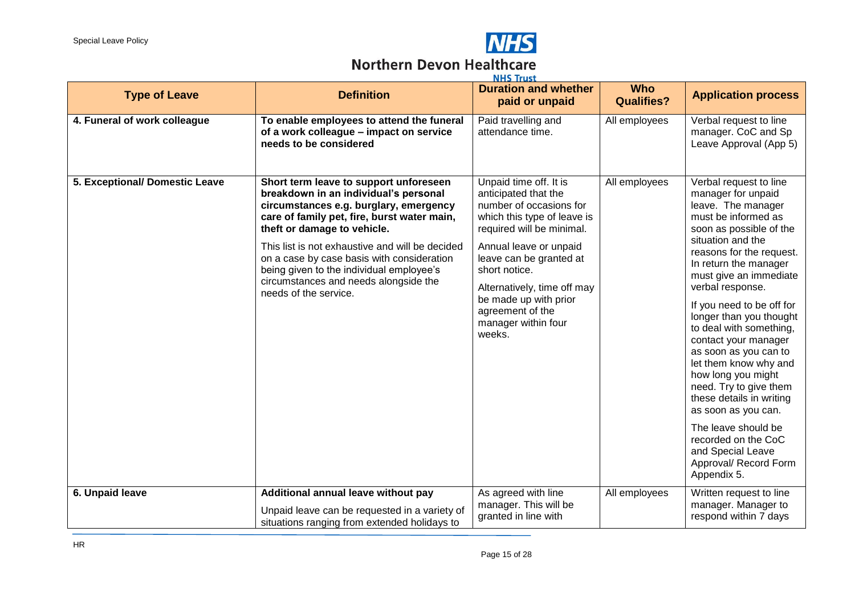

#### **Northern Devon Healthcare Washing**

| <b>Type of Leave</b>           | <b>Definition</b>                                                                                                                                                                                                                                                                                                                                                                                                      | <b>NHS Irust</b><br><b>Duration and whether</b><br>paid or unpaid                                                                                                                                                                                                                                                        | <b>Who</b><br><b>Qualifies?</b> | <b>Application process</b>                                                                                                                                                                                                                                                                                                                                                                                                                                                                                                                                                                                              |
|--------------------------------|------------------------------------------------------------------------------------------------------------------------------------------------------------------------------------------------------------------------------------------------------------------------------------------------------------------------------------------------------------------------------------------------------------------------|--------------------------------------------------------------------------------------------------------------------------------------------------------------------------------------------------------------------------------------------------------------------------------------------------------------------------|---------------------------------|-------------------------------------------------------------------------------------------------------------------------------------------------------------------------------------------------------------------------------------------------------------------------------------------------------------------------------------------------------------------------------------------------------------------------------------------------------------------------------------------------------------------------------------------------------------------------------------------------------------------------|
| 4. Funeral of work colleague   | To enable employees to attend the funeral<br>of a work colleague - impact on service<br>needs to be considered                                                                                                                                                                                                                                                                                                         | Paid travelling and<br>attendance time.                                                                                                                                                                                                                                                                                  | All employees                   | Verbal request to line<br>manager. CoC and Sp<br>Leave Approval (App 5)                                                                                                                                                                                                                                                                                                                                                                                                                                                                                                                                                 |
| 5. Exceptional/ Domestic Leave | Short term leave to support unforeseen<br>breakdown in an individual's personal<br>circumstances e.g. burglary, emergency<br>care of family pet, fire, burst water main,<br>theft or damage to vehicle.<br>This list is not exhaustive and will be decided<br>on a case by case basis with consideration<br>being given to the individual employee's<br>circumstances and needs alongside the<br>needs of the service. | Unpaid time off. It is<br>anticipated that the<br>number of occasions for<br>which this type of leave is<br>required will be minimal.<br>Annual leave or unpaid<br>leave can be granted at<br>short notice.<br>Alternatively, time off may<br>be made up with prior<br>agreement of the<br>manager within four<br>weeks. | All employees                   | Verbal request to line<br>manager for unpaid<br>leave. The manager<br>must be informed as<br>soon as possible of the<br>situation and the<br>reasons for the request.<br>In return the manager<br>must give an immediate<br>verbal response.<br>If you need to be off for<br>longer than you thought<br>to deal with something,<br>contact your manager<br>as soon as you can to<br>let them know why and<br>how long you might<br>need. Try to give them<br>these details in writing<br>as soon as you can.<br>The leave should be<br>recorded on the CoC<br>and Special Leave<br>Approval/ Record Form<br>Appendix 5. |
| 6. Unpaid leave                | Additional annual leave without pay<br>Unpaid leave can be requested in a variety of                                                                                                                                                                                                                                                                                                                                   | As agreed with line<br>manager. This will be<br>granted in line with                                                                                                                                                                                                                                                     | All employees                   | Written request to line<br>manager. Manager to<br>respond within 7 days                                                                                                                                                                                                                                                                                                                                                                                                                                                                                                                                                 |
|                                | situations ranging from extended holidays to                                                                                                                                                                                                                                                                                                                                                                           |                                                                                                                                                                                                                                                                                                                          |                                 |                                                                                                                                                                                                                                                                                                                                                                                                                                                                                                                                                                                                                         |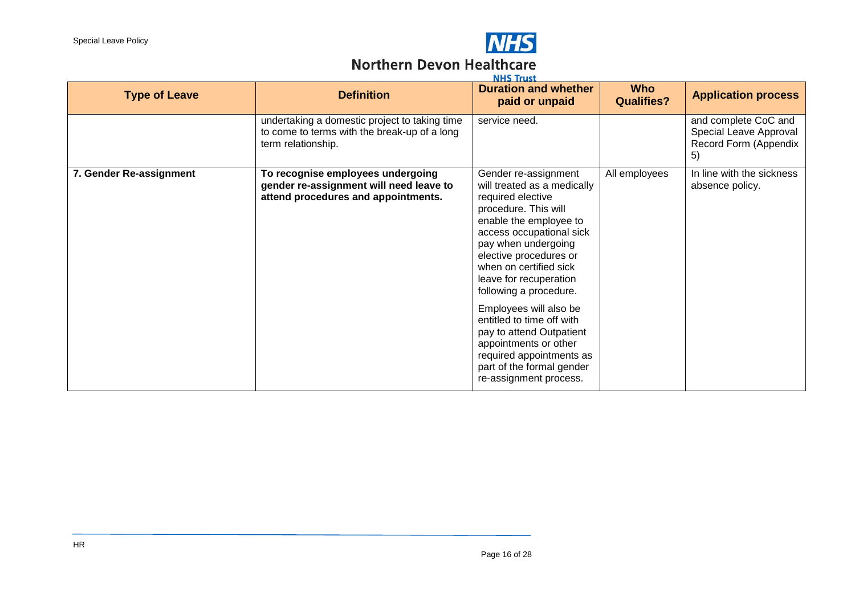

# **NHS**<br>Northern Devon Healthcare

| <b>NHS Irust</b>        |                                                                                                                     |                                                                                                                                                                                                                                                                                                                                                                                                                                                                                      |                                 |                                                                               |  |  |
|-------------------------|---------------------------------------------------------------------------------------------------------------------|--------------------------------------------------------------------------------------------------------------------------------------------------------------------------------------------------------------------------------------------------------------------------------------------------------------------------------------------------------------------------------------------------------------------------------------------------------------------------------------|---------------------------------|-------------------------------------------------------------------------------|--|--|
| <b>Type of Leave</b>    | <b>Definition</b>                                                                                                   | <b>Duration and whether</b><br>paid or unpaid                                                                                                                                                                                                                                                                                                                                                                                                                                        | <b>Who</b><br><b>Qualifies?</b> | <b>Application process</b>                                                    |  |  |
|                         | undertaking a domestic project to taking time<br>to come to terms with the break-up of a long<br>term relationship. | service need.                                                                                                                                                                                                                                                                                                                                                                                                                                                                        |                                 | and complete CoC and<br>Special Leave Approval<br>Record Form (Appendix<br>5) |  |  |
| 7. Gender Re-assignment | To recognise employees undergoing<br>gender re-assignment will need leave to<br>attend procedures and appointments. | Gender re-assignment<br>will treated as a medically<br>required elective<br>procedure. This will<br>enable the employee to<br>access occupational sick<br>pay when undergoing<br>elective procedures or<br>when on certified sick<br>leave for recuperation<br>following a procedure.<br>Employees will also be<br>entitled to time off with<br>pay to attend Outpatient<br>appointments or other<br>required appointments as<br>part of the formal gender<br>re-assignment process. | All employees                   | In line with the sickness<br>absence policy.                                  |  |  |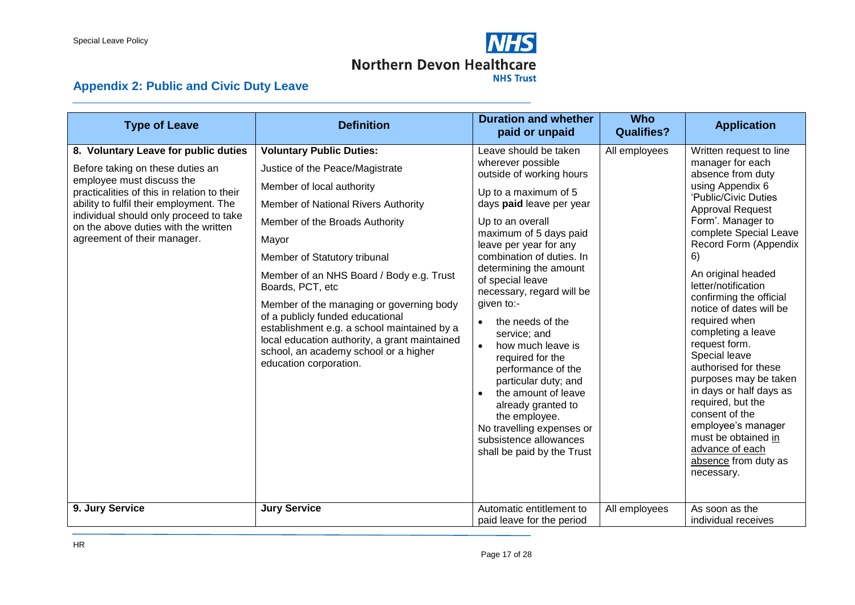

# **Appendix 2: Public and Civic Duty Leave**

<span id="page-16-0"></span>

| <b>Type of Leave</b>                                                                                                                                                                                                                                                                                             | <b>Definition</b>                                                                                                                                                                                                                                                                                                                                                                                                                                                                                                                    | <b>Duration and whether</b><br>paid or unpaid                                                                                                                                                                                                                                                                                                                                                                                                                                                                                                                                                          | <b>Who</b><br><b>Qualifies?</b> | <b>Application</b>                                                                                                                                                                                                                                                                                                                                                                                                                                                                                                                                                                                                  |
|------------------------------------------------------------------------------------------------------------------------------------------------------------------------------------------------------------------------------------------------------------------------------------------------------------------|--------------------------------------------------------------------------------------------------------------------------------------------------------------------------------------------------------------------------------------------------------------------------------------------------------------------------------------------------------------------------------------------------------------------------------------------------------------------------------------------------------------------------------------|--------------------------------------------------------------------------------------------------------------------------------------------------------------------------------------------------------------------------------------------------------------------------------------------------------------------------------------------------------------------------------------------------------------------------------------------------------------------------------------------------------------------------------------------------------------------------------------------------------|---------------------------------|---------------------------------------------------------------------------------------------------------------------------------------------------------------------------------------------------------------------------------------------------------------------------------------------------------------------------------------------------------------------------------------------------------------------------------------------------------------------------------------------------------------------------------------------------------------------------------------------------------------------|
| 8. Voluntary Leave for public duties<br>Before taking on these duties an<br>employee must discuss the<br>practicalities of this in relation to their<br>ability to fulfil their employment. The<br>individual should only proceed to take<br>on the above duties with the written<br>agreement of their manager. | <b>Voluntary Public Duties:</b><br>Justice of the Peace/Magistrate<br>Member of local authority<br>Member of National Rivers Authority<br>Member of the Broads Authority<br>Mayor<br>Member of Statutory tribunal<br>Member of an NHS Board / Body e.g. Trust<br>Boards, PCT, etc<br>Member of the managing or governing body<br>of a publicly funded educational<br>establishment e.g. a school maintained by a<br>local education authority, a grant maintained<br>school, an academy school or a higher<br>education corporation. | Leave should be taken<br>wherever possible<br>outside of working hours<br>Up to a maximum of 5<br>days paid leave per year<br>Up to an overall<br>maximum of 5 days paid<br>leave per year for any<br>combination of duties. In<br>determining the amount<br>of special leave<br>necessary, regard will be<br>given to:-<br>the needs of the<br>service; and<br>how much leave is<br>required for the<br>performance of the<br>particular duty; and<br>the amount of leave<br>already granted to<br>the employee.<br>No travelling expenses or<br>subsistence allowances<br>shall be paid by the Trust | All employees                   | Written request to line<br>manager for each<br>absence from duty<br>using Appendix 6<br>'Public/Civic Duties<br>Approval Request<br>Form'. Manager to<br>complete Special Leave<br>Record Form (Appendix<br>6)<br>An original headed<br>letter/notification<br>confirming the official<br>notice of dates will be<br>required when<br>completing a leave<br>request form.<br>Special leave<br>authorised for these<br>purposes may be taken<br>in days or half days as<br>required, but the<br>consent of the<br>employee's manager<br>must be obtained in<br>advance of each<br>absence from duty as<br>necessary. |
| 9. Jury Service                                                                                                                                                                                                                                                                                                  | <b>Jury Service</b>                                                                                                                                                                                                                                                                                                                                                                                                                                                                                                                  | Automatic entitlement to<br>paid leave for the period                                                                                                                                                                                                                                                                                                                                                                                                                                                                                                                                                  | All employees                   | As soon as the<br>individual receives                                                                                                                                                                                                                                                                                                                                                                                                                                                                                                                                                                               |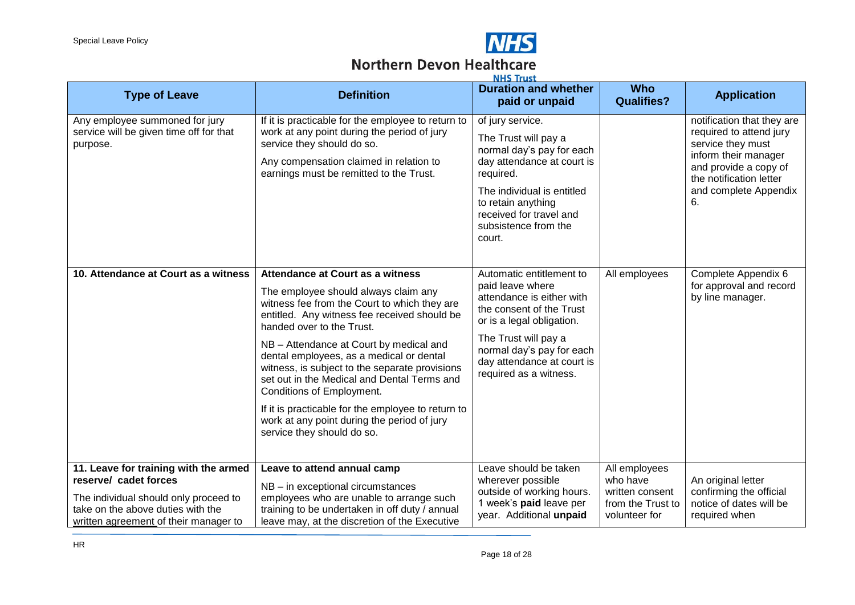

#### **Northern Devon Healthcare ALLIE TANKS**

| <b>Type of Leave</b>                                                                                                                                                                  | <b>Definition</b>                                                                                                                                                                                                                                                                                                                                                                                                                                                                                                                                                    | NND Irust<br><b>Duration and whether</b><br>paid or unpaid                                                                                                                                                                                      | <b>Who</b><br><b>Qualifies?</b>                                                    | <b>Application</b>                                                                                                                                                                    |
|---------------------------------------------------------------------------------------------------------------------------------------------------------------------------------------|----------------------------------------------------------------------------------------------------------------------------------------------------------------------------------------------------------------------------------------------------------------------------------------------------------------------------------------------------------------------------------------------------------------------------------------------------------------------------------------------------------------------------------------------------------------------|-------------------------------------------------------------------------------------------------------------------------------------------------------------------------------------------------------------------------------------------------|------------------------------------------------------------------------------------|---------------------------------------------------------------------------------------------------------------------------------------------------------------------------------------|
| Any employee summoned for jury<br>service will be given time off for that<br>purpose.                                                                                                 | If it is practicable for the employee to return to<br>work at any point during the period of jury<br>service they should do so.<br>Any compensation claimed in relation to<br>earnings must be remitted to the Trust.                                                                                                                                                                                                                                                                                                                                                | of jury service.<br>The Trust will pay a<br>normal day's pay for each<br>day attendance at court is<br>required.<br>The individual is entitled<br>to retain anything<br>received for travel and<br>subsistence from the<br>court.               |                                                                                    | notification that they are<br>required to attend jury<br>service they must<br>inform their manager<br>and provide a copy of<br>the notification letter<br>and complete Appendix<br>6. |
| 10. Attendance at Court as a witness                                                                                                                                                  | <b>Attendance at Court as a witness</b><br>The employee should always claim any<br>witness fee from the Court to which they are<br>entitled. Any witness fee received should be<br>handed over to the Trust.<br>NB - Attendance at Court by medical and<br>dental employees, as a medical or dental<br>witness, is subject to the separate provisions<br>set out in the Medical and Dental Terms and<br>Conditions of Employment.<br>If it is practicable for the employee to return to<br>work at any point during the period of jury<br>service they should do so. | Automatic entitlement to<br>paid leave where<br>attendance is either with<br>the consent of the Trust<br>or is a legal obligation.<br>The Trust will pay a<br>normal day's pay for each<br>day attendance at court is<br>required as a witness. | All employees                                                                      | Complete Appendix 6<br>for approval and record<br>by line manager.                                                                                                                    |
| 11. Leave for training with the armed<br>reserve/ cadet forces<br>The individual should only proceed to<br>take on the above duties with the<br>written agreement of their manager to | Leave to attend annual camp<br>NB - in exceptional circumstances<br>employees who are unable to arrange such<br>training to be undertaken in off duty / annual<br>leave may, at the discretion of the Executive                                                                                                                                                                                                                                                                                                                                                      | Leave should be taken<br>wherever possible<br>outside of working hours.<br>1 week's paid leave per<br>year. Additional unpaid                                                                                                                   | All employees<br>who have<br>written consent<br>from the Trust to<br>volunteer for | An original letter<br>confirming the official<br>notice of dates will be<br>required when                                                                                             |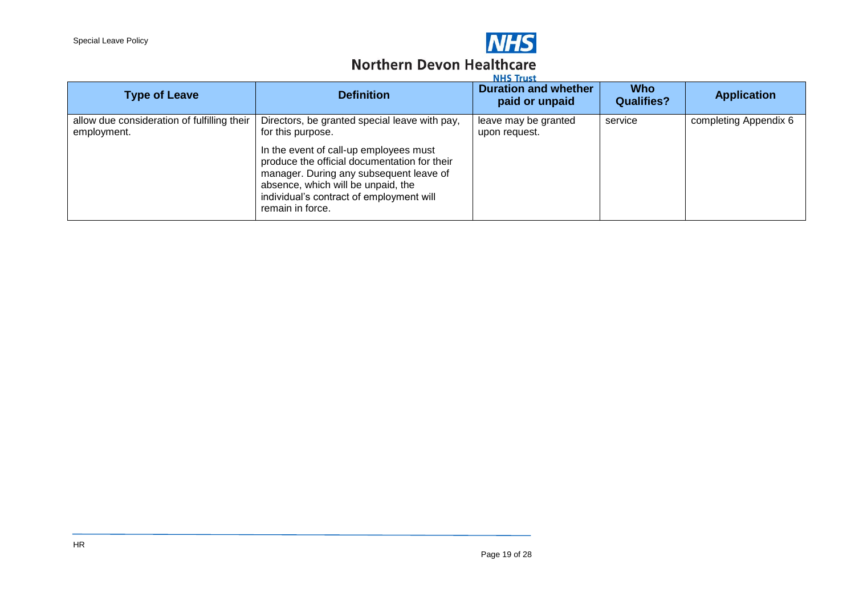

#### **Northern Devon Healthcare Washing**

| <b>Type of Leave</b>                                       | <b>Definition</b>                                                                                                                                                                                                                                                                                             | <b>NHS Irust</b><br><b>Duration and whether</b><br>paid or unpaid | <b>Who</b><br><b>Qualifies?</b> | <b>Application</b>    |
|------------------------------------------------------------|---------------------------------------------------------------------------------------------------------------------------------------------------------------------------------------------------------------------------------------------------------------------------------------------------------------|-------------------------------------------------------------------|---------------------------------|-----------------------|
| allow due consideration of fulfilling their<br>employment. | Directors, be granted special leave with pay,<br>for this purpose.<br>In the event of call-up employees must<br>produce the official documentation for their<br>manager. During any subsequent leave of<br>absence, which will be unpaid, the<br>individual's contract of employment will<br>remain in force. | leave may be granted<br>upon request.                             | service                         | completing Appendix 6 |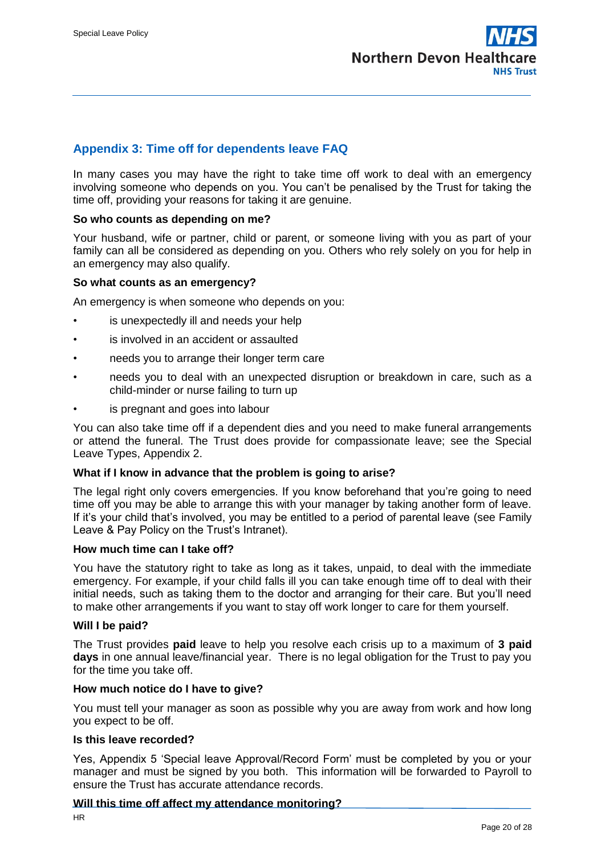

#### <span id="page-19-0"></span>**Appendix 3: Time off for dependents leave FAQ**

In many cases you may have the right to take time off work to deal with an emergency involving someone who depends on you. You can't be penalised by the Trust for taking the time off, providing your reasons for taking it are genuine.

#### **So who counts as depending on me?**

Your husband, wife or partner, child or parent, or someone living with you as part of your family can all be considered as depending on you. Others who rely solely on you for help in an emergency may also qualify.

#### **So what counts as an emergency?**

An emergency is when someone who depends on you:

- is unexpectedly ill and needs your help
- is involved in an accident or assaulted
- needs you to arrange their longer term care
- needs you to deal with an unexpected disruption or breakdown in care, such as a child-minder or nurse failing to turn up
- is pregnant and goes into labour

You can also take time off if a dependent dies and you need to make funeral arrangements or attend the funeral. The Trust does provide for compassionate leave; see the Special Leave Types, Appendix 2.

#### **What if I know in advance that the problem is going to arise?**

The legal right only covers emergencies. If you know beforehand that you're going to need time off you may be able to arrange this with your manager by taking another form of leave. If it's your child that's involved, you may be entitled to a period of parental leave (see Family Leave & Pay Policy on the Trust's Intranet).

#### **How much time can I take off?**

You have the statutory right to take as long as it takes, unpaid, to deal with the immediate emergency. For example, if your child falls ill you can take enough time off to deal with their initial needs, such as taking them to the doctor and arranging for their care. But you'll need to make other arrangements if you want to stay off work longer to care for them yourself.

#### **Will I be paid?**

The Trust provides **paid** leave to help you resolve each crisis up to a maximum of **3 paid days** in one annual leave/financial year. There is no legal obligation for the Trust to pay you for the time you take off.

#### **How much notice do I have to give?**

You must tell your manager as soon as possible why you are away from work and how long you expect to be off.

#### **Is this leave recorded?**

Yes, Appendix 5 'Special leave Approval/Record Form' must be completed by you or your manager and must be signed by you both. This information will be forwarded to Payroll to ensure the Trust has accurate attendance records.

#### **Will this time off affect my attendance monitoring?**

HR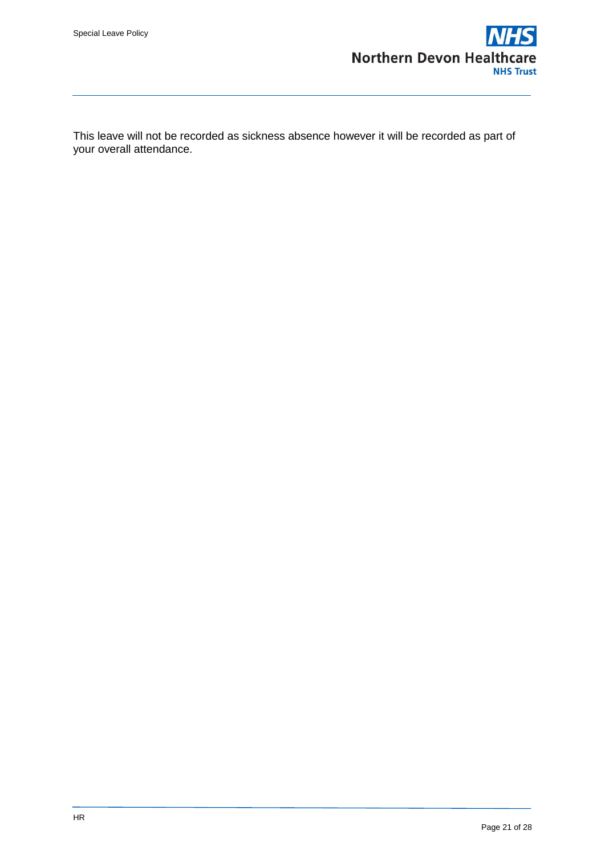

This leave will not be recorded as sickness absence however it will be recorded as part of your overall attendance.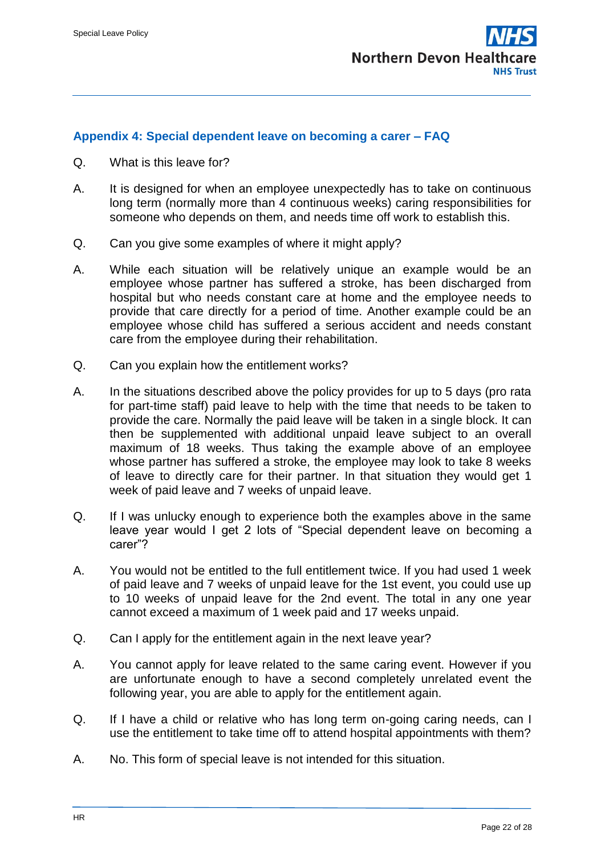

#### <span id="page-21-0"></span>**Appendix 4: Special dependent leave on becoming a carer – FAQ**

- Q. What is this leave for?
- A. It is designed for when an employee unexpectedly has to take on continuous long term (normally more than 4 continuous weeks) caring responsibilities for someone who depends on them, and needs time off work to establish this.
- Q. Can you give some examples of where it might apply?
- A. While each situation will be relatively unique an example would be an employee whose partner has suffered a stroke, has been discharged from hospital but who needs constant care at home and the employee needs to provide that care directly for a period of time. Another example could be an employee whose child has suffered a serious accident and needs constant care from the employee during their rehabilitation.
- Q. Can you explain how the entitlement works?
- A. In the situations described above the policy provides for up to 5 days (pro rata for part-time staff) paid leave to help with the time that needs to be taken to provide the care. Normally the paid leave will be taken in a single block. It can then be supplemented with additional unpaid leave subject to an overall maximum of 18 weeks. Thus taking the example above of an employee whose partner has suffered a stroke, the employee may look to take 8 weeks of leave to directly care for their partner. In that situation they would get 1 week of paid leave and 7 weeks of unpaid leave.
- Q. If I was unlucky enough to experience both the examples above in the same leave year would I get 2 lots of "Special dependent leave on becoming a carer"?
- A. You would not be entitled to the full entitlement twice. If you had used 1 week of paid leave and 7 weeks of unpaid leave for the 1st event, you could use up to 10 weeks of unpaid leave for the 2nd event. The total in any one year cannot exceed a maximum of 1 week paid and 17 weeks unpaid.
- Q. Can I apply for the entitlement again in the next leave year?
- A. You cannot apply for leave related to the same caring event. However if you are unfortunate enough to have a second completely unrelated event the following year, you are able to apply for the entitlement again.
- Q. If I have a child or relative who has long term on-going caring needs, can I use the entitlement to take time off to attend hospital appointments with them?
- A. No. This form of special leave is not intended for this situation.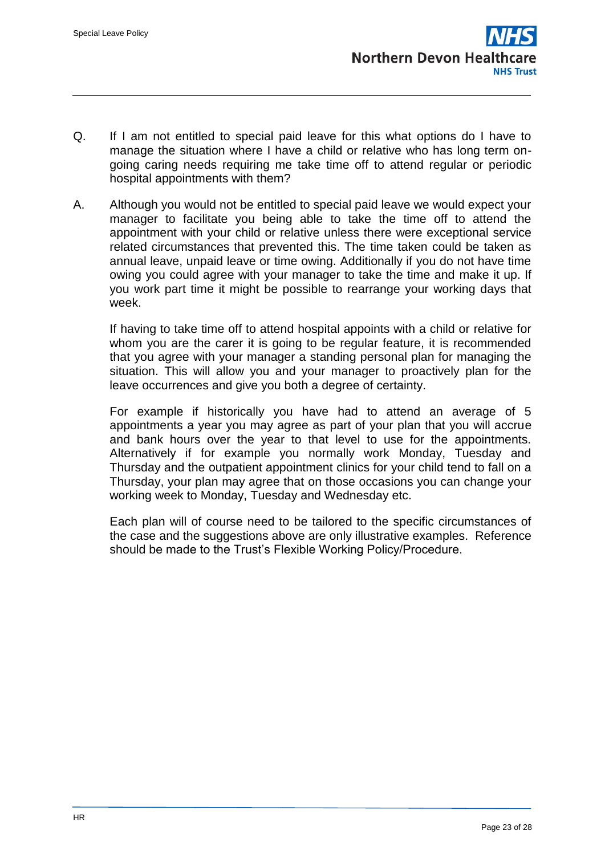- Q. If I am not entitled to special paid leave for this what options do I have to manage the situation where I have a child or relative who has long term ongoing caring needs requiring me take time off to attend regular or periodic hospital appointments with them?
- A. Although you would not be entitled to special paid leave we would expect your manager to facilitate you being able to take the time off to attend the appointment with your child or relative unless there were exceptional service related circumstances that prevented this. The time taken could be taken as annual leave, unpaid leave or time owing. Additionally if you do not have time owing you could agree with your manager to take the time and make it up. If you work part time it might be possible to rearrange your working days that week.

If having to take time off to attend hospital appoints with a child or relative for whom you are the carer it is going to be regular feature, it is recommended that you agree with your manager a standing personal plan for managing the situation. This will allow you and your manager to proactively plan for the leave occurrences and give you both a degree of certainty.

For example if historically you have had to attend an average of 5 appointments a year you may agree as part of your plan that you will accrue and bank hours over the year to that level to use for the appointments. Alternatively if for example you normally work Monday, Tuesday and Thursday and the outpatient appointment clinics for your child tend to fall on a Thursday, your plan may agree that on those occasions you can change your working week to Monday, Tuesday and Wednesday etc.

Each plan will of course need to be tailored to the specific circumstances of the case and the suggestions above are only illustrative examples. Reference should be made to the Trust's Flexible Working Policy/Procedure.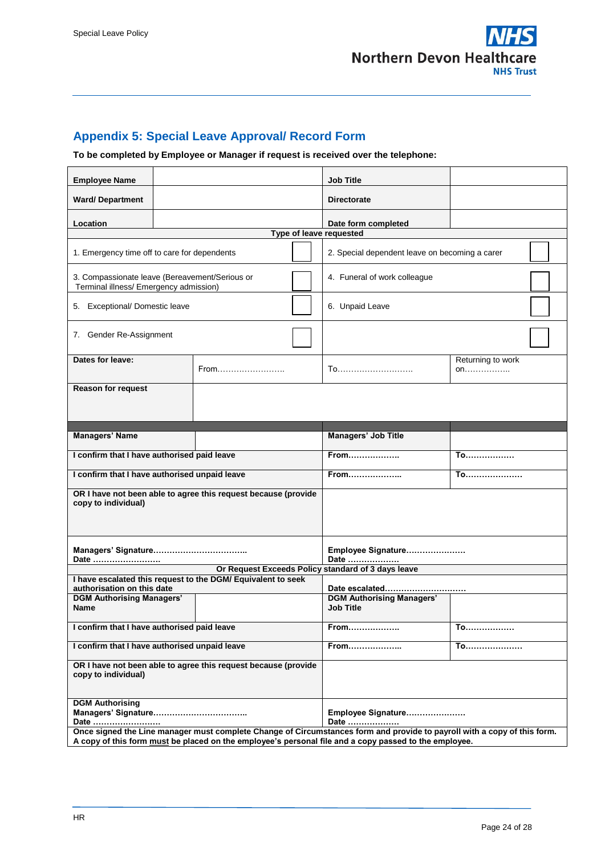

## <span id="page-23-0"></span>**Appendix 5: Special Leave Approval/ Record Form**

## **To be completed by Employee or Manager if request is received over the telephone:**

| <b>Employee Name</b>                                                                                                                                                                                                              |  |      |           | <b>Job Title</b>                                     |                         |  |  |  |
|-----------------------------------------------------------------------------------------------------------------------------------------------------------------------------------------------------------------------------------|--|------|-----------|------------------------------------------------------|-------------------------|--|--|--|
| <b>Ward/Department</b>                                                                                                                                                                                                            |  |      |           | <b>Directorate</b>                                   |                         |  |  |  |
| Location                                                                                                                                                                                                                          |  |      |           | Date form completed                                  |                         |  |  |  |
| Type of leave requested                                                                                                                                                                                                           |  |      |           |                                                      |                         |  |  |  |
| 1. Emergency time off to care for dependents                                                                                                                                                                                      |  |      |           | 2. Special dependent leave on becoming a carer       |                         |  |  |  |
| 3. Compassionate leave (Bereavement/Serious or<br>Terminal illness/ Emergency admission)                                                                                                                                          |  |      |           | 4. Funeral of work colleague                         |                         |  |  |  |
| 5. Exceptional/ Domestic leave                                                                                                                                                                                                    |  |      |           | 6. Unpaid Leave                                      |                         |  |  |  |
| 7. Gender Re-Assignment                                                                                                                                                                                                           |  |      |           |                                                      |                         |  |  |  |
| Dates for leave:                                                                                                                                                                                                                  |  | From |           | To                                                   | Returning to work<br>on |  |  |  |
| <b>Reason for request</b>                                                                                                                                                                                                         |  |      |           |                                                      |                         |  |  |  |
|                                                                                                                                                                                                                                   |  |      |           |                                                      |                         |  |  |  |
|                                                                                                                                                                                                                                   |  |      |           |                                                      |                         |  |  |  |
| <b>Managers' Name</b>                                                                                                                                                                                                             |  |      |           | Managers' Job Title                                  |                         |  |  |  |
| I confirm that I have authorised paid leave                                                                                                                                                                                       |  |      |           | <b>From</b>                                          | <b>To</b>               |  |  |  |
| I confirm that I have authorised unpaid leave                                                                                                                                                                                     |  |      |           | From                                                 | <b>To</b>               |  |  |  |
| OR I have not been able to agree this request because (provide<br>copy to individual)                                                                                                                                             |  |      |           |                                                      |                         |  |  |  |
| Date                                                                                                                                                                                                                              |  |      |           | Employee Signature<br>Date                           |                         |  |  |  |
|                                                                                                                                                                                                                                   |  |      |           | Or Request Exceeds Policy standard of 3 days leave   |                         |  |  |  |
| I have escalated this request to the DGM/ Equivalent to seek<br>authorisation on this date<br>Date escalated                                                                                                                      |  |      |           |                                                      |                         |  |  |  |
| <b>DGM Authorising Managers'</b><br><b>Name</b>                                                                                                                                                                                   |  |      |           | <b>DGM Authorising Managers'</b><br><b>Job Title</b> |                         |  |  |  |
| I confirm that I have authorised paid leave                                                                                                                                                                                       |  | From | <b>To</b> |                                                      |                         |  |  |  |
| I confirm that I have authorised unpaid leave                                                                                                                                                                                     |  |      |           | From                                                 | <b>To</b>               |  |  |  |
| OR I have not been able to agree this request because (provide<br>copy to individual)                                                                                                                                             |  |      |           |                                                      |                         |  |  |  |
| <b>DGM Authorising</b><br>Date                                                                                                                                                                                                    |  |      |           | Employee Signature<br>Date                           |                         |  |  |  |
| Once signed the Line manager must complete Change of Circumstances form and provide to payroll with a copy of this form.<br>A copy of this form must be placed on the employee's personal file and a copy passed to the employee. |  |      |           |                                                      |                         |  |  |  |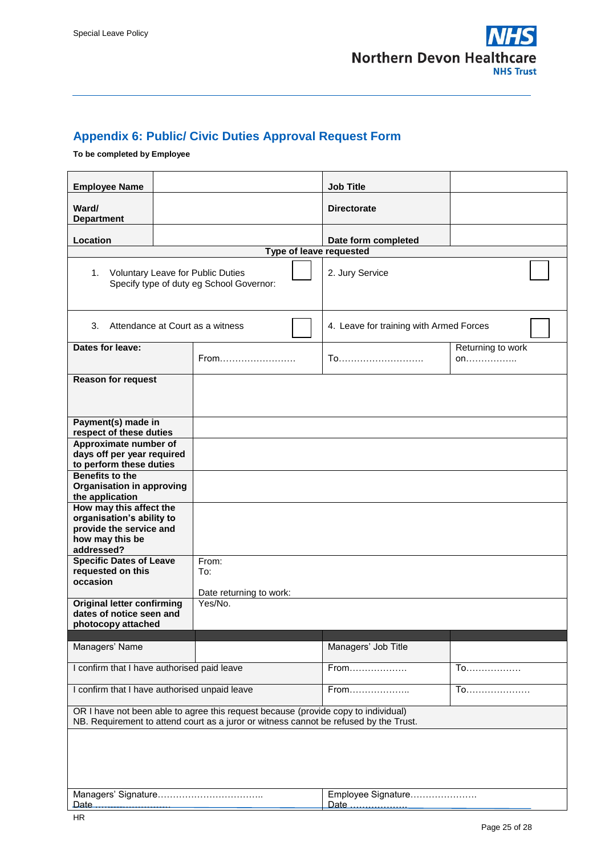

## <span id="page-24-0"></span>**Appendix 6: Public/ Civic Duties Approval Request Form**

## **To be completed by Employee**

| <b>Employee Name</b>                                                                                                                                                        |  |                                         | <b>Job Title</b>                        |                         |  |  |  |
|-----------------------------------------------------------------------------------------------------------------------------------------------------------------------------|--|-----------------------------------------|-----------------------------------------|-------------------------|--|--|--|
| Ward/<br><b>Department</b>                                                                                                                                                  |  |                                         | <b>Directorate</b>                      |                         |  |  |  |
| Location                                                                                                                                                                    |  |                                         | Date form completed                     |                         |  |  |  |
|                                                                                                                                                                             |  | Type of leave requested                 |                                         |                         |  |  |  |
| <b>Voluntary Leave for Public Duties</b><br>1.<br>Specify type of duty eg School Governor:                                                                                  |  |                                         | 2. Jury Service                         |                         |  |  |  |
| 3.                                                                                                                                                                          |  | Attendance at Court as a witness        | 4. Leave for training with Armed Forces |                         |  |  |  |
| Dates for leave:                                                                                                                                                            |  | From                                    | <u>To</u>                               | Returning to work<br>on |  |  |  |
| <b>Reason for request</b>                                                                                                                                                   |  |                                         |                                         |                         |  |  |  |
| Payment(s) made in<br>respect of these duties                                                                                                                               |  |                                         |                                         |                         |  |  |  |
| Approximate number of<br>days off per year required<br>to perform these duties                                                                                              |  |                                         |                                         |                         |  |  |  |
| <b>Benefits to the</b><br><b>Organisation in approving</b><br>the application                                                                                               |  |                                         |                                         |                         |  |  |  |
| How may this affect the<br>organisation's ability to<br>provide the service and<br>how may this be<br>addressed?                                                            |  |                                         |                                         |                         |  |  |  |
| <b>Specific Dates of Leave</b><br>requested on this<br>occasion                                                                                                             |  | From:<br>To:<br>Date returning to work: |                                         |                         |  |  |  |
| <b>Original letter confirming</b><br>dates of notice seen and<br>photocopy attached                                                                                         |  | Yes/No.                                 |                                         |                         |  |  |  |
| Managers' Name                                                                                                                                                              |  |                                         | Managers' Job Title                     |                         |  |  |  |
| I confirm that I have authorised paid leave                                                                                                                                 |  |                                         | From                                    | To.                     |  |  |  |
| I confirm that I have authorised unpaid leave                                                                                                                               |  |                                         | From                                    | To                      |  |  |  |
| OR I have not been able to agree this request because (provide copy to individual)<br>NB. Requirement to attend court as a juror or witness cannot be refused by the Trust. |  |                                         |                                         |                         |  |  |  |
|                                                                                                                                                                             |  |                                         |                                         |                         |  |  |  |
| Date                                                                                                                                                                        |  |                                         | Employee Signature<br>Date              |                         |  |  |  |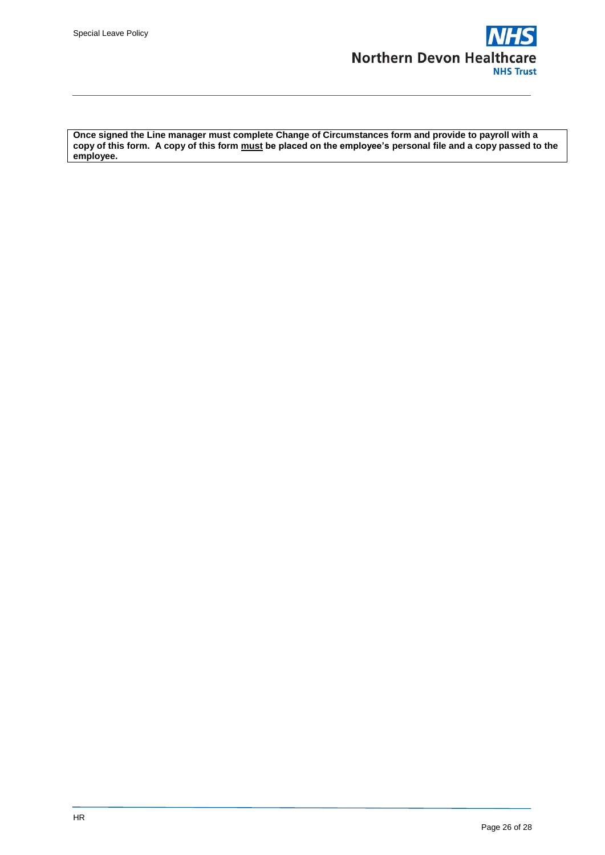

**Once signed the Line manager must complete Change of Circumstances form and provide to payroll with a copy of this form. A copy of this form must be placed on the employee's personal file and a copy passed to the employee.**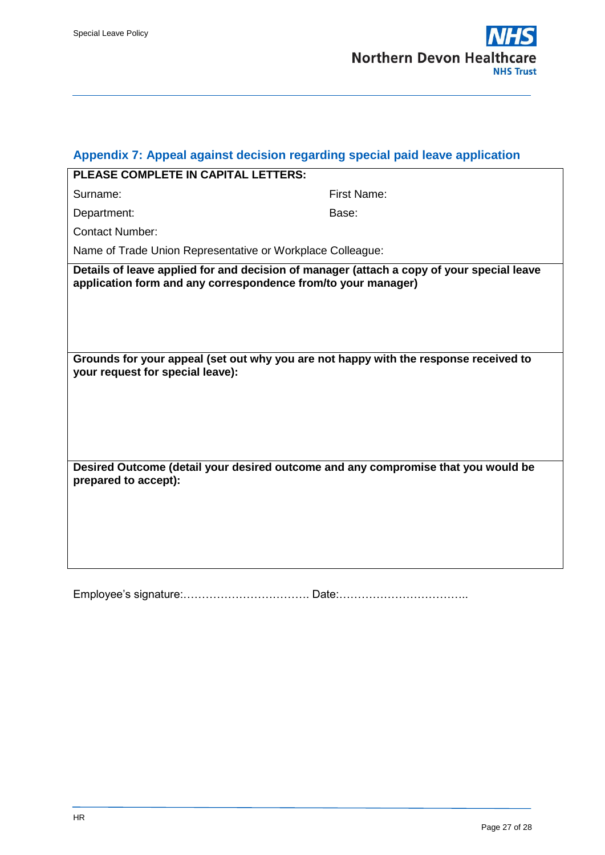<span id="page-26-0"></span>

|  |  | PLEASE COMPLETE IN CAPITAL LETTERS: |
|--|--|-------------------------------------|
|  |  |                                     |

First Name:

Department: Base:

Contact Number:

Name of Trade Union Representative or Workplace Colleague:

**Details of leave applied for and decision of manager (attach a copy of your special leave application form and any correspondence from/to your manager)**

**Grounds for your appeal (set out why you are not happy with the response received to your request for special leave):**

**Desired Outcome (detail your desired outcome and any compromise that you would be prepared to accept):**

Employee's signature:……………………………. Date:……………………………..